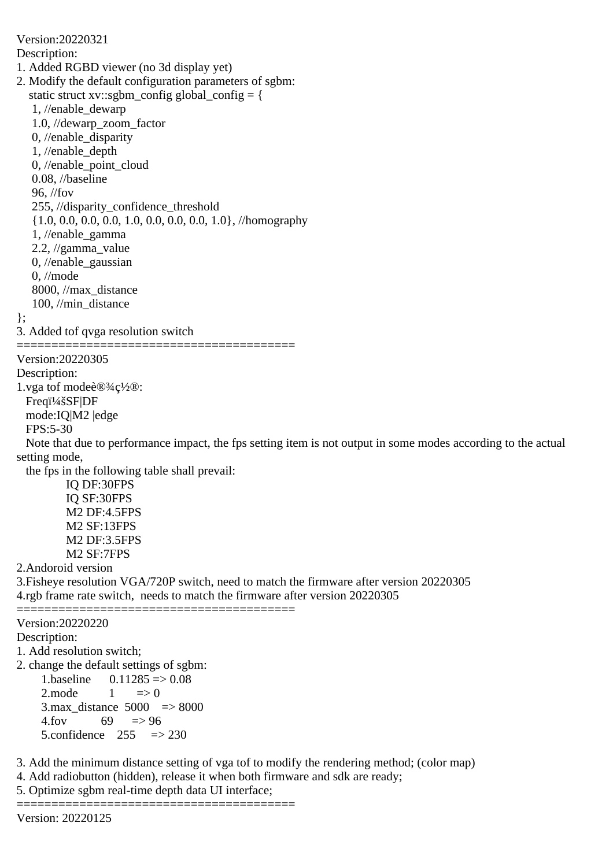Version:20220321 Description: 1. Added RGBD viewer (no 3d display yet) 2. Modify the default configuration parameters of sgbm: static struct xv::sgbm\_config global\_config = { 1, //enable\_dewarp 1.0, //dewarp\_zoom\_factor 0, //enable\_disparity 1, //enable\_depth 0, //enable\_point\_cloud 0.08, //baseline 96, //fov 255, //disparity\_confidence\_threshold {1.0, 0.0, 0.0, 0.0, 1.0, 0.0, 0.0, 0.0, 1.0}, //homography 1, //enable\_gamma 2.2, //gamma\_value 0, //enable\_gaussian 0, //mode 8000, //max\_distance 100, //min\_distance }; 3. Added tof qvga resolution switch ======================================== Version:20220305 Description: 1.vga tof mode设ç½®: Freqi<sup>1</sup>/4šSF|DF mode:IQ|M2 |edge FPS:5-30 Note that due to performance impact, the fps setting item is not output in some modes according to the actual setting mode, the fps in the following table shall prevail: IQ DF:30FPS IQ SF:30FPS M2 DF:4.5FPS M2 SF:13FPS M2 DF:3.5FPS M2 SF:7FPS 2.Andoroid version 3.Fisheye resolution VGA/720P switch, need to match the firmware after version 20220305 4.rgb frame rate switch, needs to match the firmware after version 20220305 ======================================== Version:20220220 Description: 1. Add resolution switch; 2. change the default settings of sgbm: 1.baseline  $0.11285 \implies 0.08$ 2.mode  $1 \implies 0$ 3.max distance  $5000 \Rightarrow 8000$  $4.$ fov 69  $\equiv$ >96 5.confidence  $255 \Rightarrow 230$ 3. Add the minimum distance setting of vga tof to modify the rendering method; (color map)

4. Add radiobutton (hidden), release it when both firmware and sdk are ready;

5. Optimize sgbm real-time depth data UI interface;